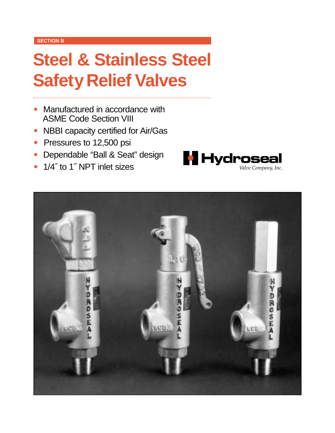#### **SECTION B**

# **Steel & Stainless Steel Safety Relief Valves**

- Manufactured in accordance with ASME Code Section VIII
- NBBI capacity certified for Air/Gas
- Pressures to 12,500 psi
- Dependable "Ball & Seat" design
- 1/4" to 1" NPT inlet sizes



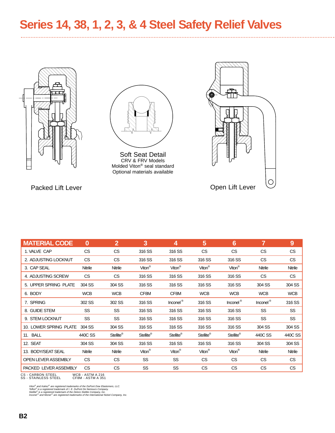**Series 14, 38, 1, 2, 3, & 4 Steel Safety Relief Valves**





Soft Seat Detail CRV & FRV Models Molded Viton® seal standard Optional materials available



| <b>MATERIAL CODE</b>       | $\bf{0}$   | $\overline{2}$ | 3                  | 4                  | 5                  | 6                  | 7          | 9          |
|----------------------------|------------|----------------|--------------------|--------------------|--------------------|--------------------|------------|------------|
| 1. VALVE CAP               | CS         | CS             | 316 SS             | 316 SS             | <b>CS</b>          | <b>CS</b>          | CS         | CS         |
| 2. ADJUSTING LOCKNUT       | CS         | CS             | 316 SS             | 316 SS             | 316 SS             | 316 SS             | <b>CS</b>  | CS         |
| 3. CAP SEAL                | Nitrile    | Nitrile        | Viton <sup>®</sup> | Viton <sup>®</sup> | Viton <sup>®</sup> | Viton <sup>®</sup> | Nitrile    | Nitrile    |
| 4. ADJUSTING SCREW         | <b>CS</b>  | CS.            | 316 SS             | 316 SS             | 316 SS             | 316 SS             | CS.        | <b>CS</b>  |
| 5. UPPER SPRING PLATE      | 304 SS     | 304 SS         | 316 SS             | 316 SS             | 316 SS             | 316 SS             | 304 SS     | 304 SS     |
| 6. BODY                    | <b>WCB</b> | <b>WCB</b>     | CF8M               | CF8M               | <b>WCB</b>         | <b>WCB</b>         | <b>WCB</b> | <b>WCB</b> |
| 7. SPRING                  | 302 SS     | 302 SS         | 316 SS             | Inconel®           | 316 SS             | Inconel®           | Inconel®   | 316 SS     |
| 8. GUIDE STEM              | <b>SS</b>  | SS             | 316 SS             | 316 SS             | 316 SS             | 316 SS             | SS         | <b>SS</b>  |
| 9. STEM LOCKNUT            | <b>SS</b>  | SS             | 316 SS             | 316 SS             | 316 SS             | 316 SS             | SS         | SS         |
| 10. LOWER SPRING PLATE     | 304 SS     | 304 SS         | 316 SS             | 316 SS             | 316 SS             | 316 SS             | 304 SS     | 304 SS     |
| 11. BALL                   | 440C SS    | Stellite®      | Stellite®          | Stellite®          | Stellite®          | Stellite®          | 440C SS    | 440C SS    |
| 12. SEAT                   | 304 SS     | 304 SS         | 316 SS             | 316 SS             | 316 SS             | 316 SS             | 304 SS     | 304 SS     |
| 13. BODY/SEAT SEAL         | Nitrile    | Nitrile        | Viton <sup>®</sup> | Viton <sup>®</sup> | Viton <sup>®</sup> | Viton <sup>®</sup> | Nitrile    | Nitrile    |
| <b>OPEN LEVER ASSEMBLY</b> | CS         | CS             | SS                 | SS                 | <b>CS</b>          | <b>CS</b>          | CS         | CS         |
| PACKED LEVER ASSEMBLY      | CS         | CS             | SS                 | SS                 | CS                 | <b>CS</b>          | CS         | CS         |

CS - CARBON STEEL WCB - ASTM A 216 SS - STAINLESS STEEL CF8M - ASTM A 351

Viton<sup>®</sup> and Kalrez<sup>®</sup> are registered trademarks of the DuPont Dow Elastomers, LLC.<br>Teflon<sup>®</sup> is a registered trademark of I. E. DuPont De Nemours Company.<br>Stellite® is a registered trademark of the Deloro Stellite Company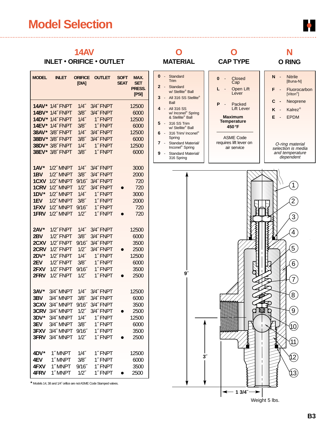## **Model Selection**



## **14AV**

### **INLET** • **ORIFICE** • **OUTLET**

| <b>MODEL</b>            | <b>INLET</b>                                          | <b>ORIFICE</b><br>[DIA]     | <b>OUTLET</b>                  | <b>SOFT</b><br><b>SEAT</b> | MAX.<br><b>SET</b><br>PRESS.<br>[PSI] |
|-------------------------|-------------------------------------------------------|-----------------------------|--------------------------------|----------------------------|---------------------------------------|
| $14DY*$                 | <b>14AV* 1/4" FNPT</b><br>14BV* 1/4" FNPT<br>1/4"FNPT | $1/4$ "<br>$3/8$ ″<br>1/4'' | 3/4"FNPT<br>3/4"FNPT<br>1"FNPT |                            | 12500<br>6000<br>12500                |
| 14EV*                   | 1/4"FNPT                                              | 3/8 <sup>7</sup>            | 1"FNPT                         |                            | 6000                                  |
| 38AV*                   | 3/8" FNPT                                             | $1/4$ "                     | 3/4"FNPT                       |                            | 12500                                 |
| 38BV*                   | 3/8" FNPT                                             | 3/8 <sup>7</sup>            | 3/4" FNPT                      |                            | 6000                                  |
| 38DV*                   | 3/8" FNPT                                             | 1/4''                       | 1"FNPT                         |                            | 12500                                 |
| 1AV*<br>1 <sub>BV</sub> | 38EV* 3/8" FNPT<br>1/2" MNPT<br>1/2" MNPT             | $3/8$ "<br>1/4"<br>3/8"     | 1"FNPT<br>3/4"FNPT<br>3/4"FNPT |                            | 6000<br>3000<br>2000                  |
| 1CXV                    | 1/2" MNPT                                             | 9/16                        | 3/4" FNPT                      |                            | 720                                   |
| 1CRV                    | 1/2" MNPT                                             | $1/2$ "                     | 3/4"FNPT                       |                            | 720                                   |
| $1DV^*$                 | 1/2" MNPT                                             | 1/4''                       | 1"FNPT                         |                            | 3000                                  |
| 1EV                     | 1/2" MNPT                                             | 3/8"                        | 1"FNPT                         |                            | 2000                                  |
| 1FXV                    | 1/2" MNPT                                             | $9/16$ "                    | 1"FNPT                         |                            | 720                                   |
| 1FRV                    | 1/2" MNPT                                             | $1/2^{r}$                   | 1"FNPT                         |                            | 720                                   |
| $2AV*$                  | 1/2″ FNPT                                             | 1/4''                       | 3/4" FNPT                      |                            | 12500                                 |
| 2 <sub>BV</sub>         | 1/2"FNPT                                              | $3/8$ "                     | 3/4"FNPT                       |                            | 6000                                  |
| 2CXV                    | 1/2" FNPT                                             | 9/16                        | 3/4"FNPT                       |                            | 3500                                  |
| 2CRV                    | 1/2"FNPT                                              | $1/2$ "                     | 3/4"FNPT                       |                            | 2500                                  |
| $2DV^*$                 | 1/2"FNPT                                              | 1/4''                       | 1"FNPT                         |                            | 12500                                 |
| 2EV                     | 1/2"FNPT                                              | 3/8"                        | 1"FNPT                         |                            | 6000                                  |
| 2FXV                    | 1/2"FNPT                                              | $9/16$ "                    | 1"FNPT                         |                            | 3500                                  |
| 2FRV                    | 1/2"FNPT                                              | $1/2$ "                     | 1"FNPT                         |                            | 2500                                  |
| $3AV*$                  | 3/4" MNPT                                             | 1/4"                        | 3/4"FNPT                       |                            | 12500                                 |
| 3BV                     | 3/4" MNPT                                             | $3/8$ ″                     | 3/4"FNPT                       |                            | 6000                                  |
| 3CXV                    | 3/4" MNPT                                             | $9/16$ "                    | 3/4"FNPT                       |                            | 3500                                  |
| <b>3CRV</b>             | 3/4" MNPT                                             | $1/2^r$                     | 3/4"FNPT                       |                            | 2500                                  |
| 3DV*                    | 3/4" MNPT                                             | $1/4$ "                     | 1"FNPT                         |                            | 12500                                 |
| 3EV                     | 3/4" MNPT                                             | $3/8$ "                     | 1"FNPT                         |                            | 6000                                  |
| 3FXV                    | 3/4" MNPT                                             | 9/16                        | 1"FNPT                         |                            | 3500                                  |
| 3FRV                    | 3/4" MNPT                                             | $1/2$ "                     | 1"FNPT                         |                            | 2500                                  |
| 4DV*                    | 1"MNPT                                                | $1/4$ "                     | 1"FNPT                         |                            | 12500                                 |
| 4EV                     | 1"MNPT                                                | $3/8$ "                     | 1"FNPT                         |                            | 6000                                  |
| 4FXV                    | 1"MNPT                                                | 9/16                        | 1"FNPT                         |                            | 3500                                  |
| 4FRV                    | 1"MNPT                                                | $1/2$ "                     | 1"FNPT                         |                            | 2500                                  |





Weight 5 lbs.

⋗

**1 3/4˝**